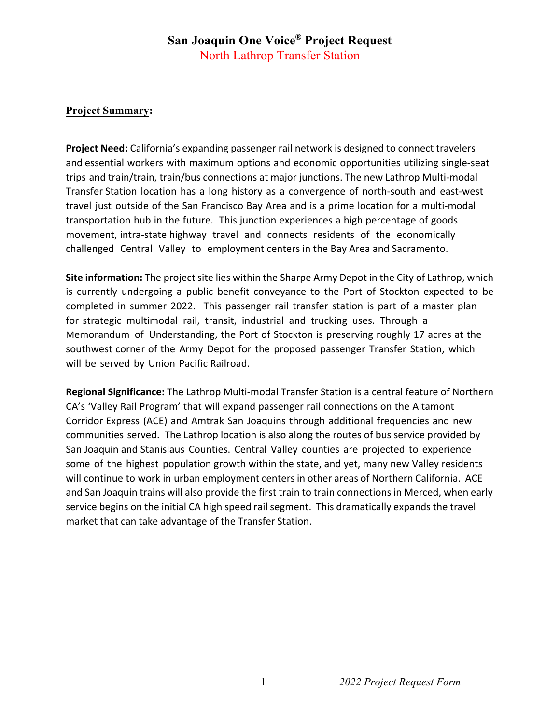## **San Joaquin One Voice® Project Request**  North Lathrop Transfer Station

## **Project Summary:**

**Project Need:** California's expanding passenger rail network is designed to connect travelers and essential workers with maximum options and economic opportunities utilizing single-seat trips and train/train, train/bus connections at major junctions. The new Lathrop Multi-modal Transfer Station location has a long history as a convergence of north-south and east-west travel just outside of the San Francisco Bay Area and is a prime location for a multi-modal transportation hub in the future. This junction experiences a high percentage of goods movement, intra-state highway travel and connects residents of the economically challenged Central Valley to employment centers in the Bay Area and Sacramento.

**Site information:** The project site lies within the Sharpe Army Depot in the City of Lathrop, which is currently undergoing a public benefit conveyance to the Port of Stockton expected to be completed in summer 2022. This passenger rail transfer station is part of a master plan for strategic multimodal rail, transit, industrial and trucking uses. Through a Memorandum of Understanding, the Port of Stockton is preserving roughly 17 acres at the southwest corner of the Army Depot for the proposed passenger Transfer Station, which will be served by Union Pacific Railroad.

**Regional Significance:** The Lathrop Multi-modal Transfer Station is a central feature of Northern CA's 'Valley Rail Program' that will expand passenger rail connections on the Altamont Corridor Express (ACE) and Amtrak San Joaquins through additional frequencies and new communities served. The Lathrop location is also along the routes of bus service provided by San Joaquin and Stanislaus Counties. Central Valley counties are projected to experience some of the highest population growth within the state, and yet, many new Valley residents will continue to work in urban employment centers in other areas of Northern California. ACE and San Joaquin trains will also provide the first train to train connections in Merced, when early service begins on the initial CA high speed rail segment. This dramatically expands the travel market that can take advantage of the Transfer Station.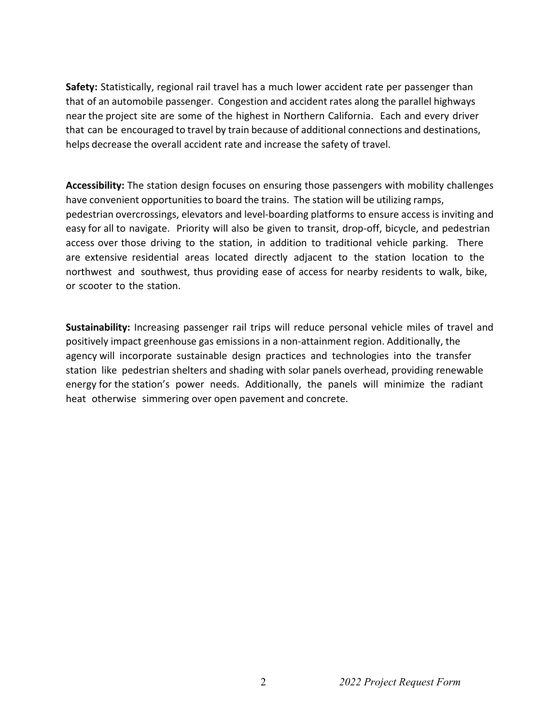**Safety:** Statistically, regional rail travel has a much lower accident rate per passenger than that of an automobile passenger. Congestion and accident rates along the parallel highways near the project site are some of the highest in Northern California. Each and every driver that can be encouraged to travel by train because of additional connections and destinations, helps decrease the overall accident rate and increase the safety of travel.

**Accessibility:** The station design focuses on ensuring those passengers with mobility challenges have convenient opportunities to board the trains. The station will be utilizing ramps, pedestrian overcrossings, elevators and level-boarding platforms to ensure access is inviting and easy for all to navigate. Priority will also be given to transit, drop-off, bicycle, and pedestrian access over those driving to the station, in addition to traditional vehicle parking. There are extensive residential areas located directly adjacent to the station location to the northwest and southwest, thus providing ease of access for nearby residents to walk, bike, or scooter to the station.

**Sustainability:** Increasing passenger rail trips will reduce personal vehicle miles of travel and positively impact greenhouse gas emissions in a non-attainment region. Additionally, the agency will incorporate sustainable design practices and technologies into the transfer station like pedestrian shelters and shading with solar panels overhead, providing renewable energy for the station's power needs. Additionally, the panels will minimize the radiant heat otherwise simmering over open pavement and concrete.